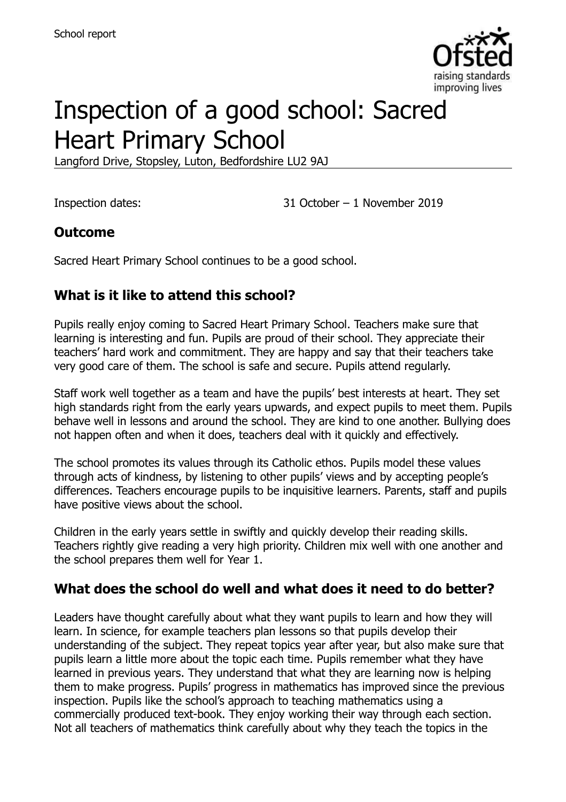

# Inspection of a good school: Sacred Heart Primary School

Langford Drive, Stopsley, Luton, Bedfordshire LU2 9AJ

Inspection dates: 31 October – 1 November 2019

#### **Outcome**

Sacred Heart Primary School continues to be a good school.

## **What is it like to attend this school?**

Pupils really enjoy coming to Sacred Heart Primary School. Teachers make sure that learning is interesting and fun. Pupils are proud of their school. They appreciate their teachers' hard work and commitment. They are happy and say that their teachers take very good care of them. The school is safe and secure. Pupils attend regularly.

Staff work well together as a team and have the pupils' best interests at heart. They set high standards right from the early years upwards, and expect pupils to meet them. Pupils behave well in lessons and around the school. They are kind to one another. Bullying does not happen often and when it does, teachers deal with it quickly and effectively.

The school promotes its values through its Catholic ethos. Pupils model these values through acts of kindness, by listening to other pupils' views and by accepting people's differences. Teachers encourage pupils to be inquisitive learners. Parents, staff and pupils have positive views about the school.

Children in the early years settle in swiftly and quickly develop their reading skills. Teachers rightly give reading a very high priority. Children mix well with one another and the school prepares them well for Year 1.

#### **What does the school do well and what does it need to do better?**

Leaders have thought carefully about what they want pupils to learn and how they will learn. In science, for example teachers plan lessons so that pupils develop their understanding of the subject. They repeat topics year after year, but also make sure that pupils learn a little more about the topic each time. Pupils remember what they have learned in previous years. They understand that what they are learning now is helping them to make progress. Pupils' progress in mathematics has improved since the previous inspection. Pupils like the school's approach to teaching mathematics using a commercially produced text-book. They enjoy working their way through each section. Not all teachers of mathematics think carefully about why they teach the topics in the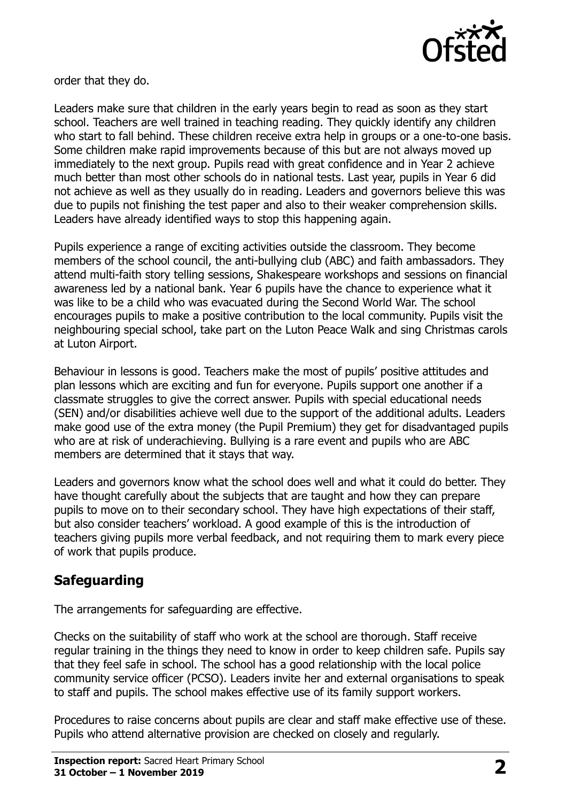

order that they do.

Leaders make sure that children in the early years begin to read as soon as they start school. Teachers are well trained in teaching reading. They quickly identify any children who start to fall behind. These children receive extra help in groups or a one-to-one basis. Some children make rapid improvements because of this but are not always moved up immediately to the next group. Pupils read with great confidence and in Year 2 achieve much better than most other schools do in national tests. Last year, pupils in Year 6 did not achieve as well as they usually do in reading. Leaders and governors believe this was due to pupils not finishing the test paper and also to their weaker comprehension skills. Leaders have already identified ways to stop this happening again.

Pupils experience a range of exciting activities outside the classroom. They become members of the school council, the anti-bullying club (ABC) and faith ambassadors. They attend multi-faith story telling sessions, Shakespeare workshops and sessions on financial awareness led by a national bank. Year 6 pupils have the chance to experience what it was like to be a child who was evacuated during the Second World War. The school encourages pupils to make a positive contribution to the local community. Pupils visit the neighbouring special school, take part on the Luton Peace Walk and sing Christmas carols at Luton Airport.

Behaviour in lessons is good. Teachers make the most of pupils' positive attitudes and plan lessons which are exciting and fun for everyone. Pupils support one another if a classmate struggles to give the correct answer. Pupils with special educational needs (SEN) and/or disabilities achieve well due to the support of the additional adults. Leaders make good use of the extra money (the Pupil Premium) they get for disadvantaged pupils who are at risk of underachieving. Bullying is a rare event and pupils who are ABC members are determined that it stays that way.

Leaders and governors know what the school does well and what it could do better. They have thought carefully about the subjects that are taught and how they can prepare pupils to move on to their secondary school. They have high expectations of their staff, but also consider teachers' workload. A good example of this is the introduction of teachers giving pupils more verbal feedback, and not requiring them to mark every piece of work that pupils produce.

#### **Safeguarding**

The arrangements for safeguarding are effective.

Checks on the suitability of staff who work at the school are thorough. Staff receive regular training in the things they need to know in order to keep children safe. Pupils say that they feel safe in school. The school has a good relationship with the local police community service officer (PCSO). Leaders invite her and external organisations to speak to staff and pupils. The school makes effective use of its family support workers.

Procedures to raise concerns about pupils are clear and staff make effective use of these. Pupils who attend alternative provision are checked on closely and regularly.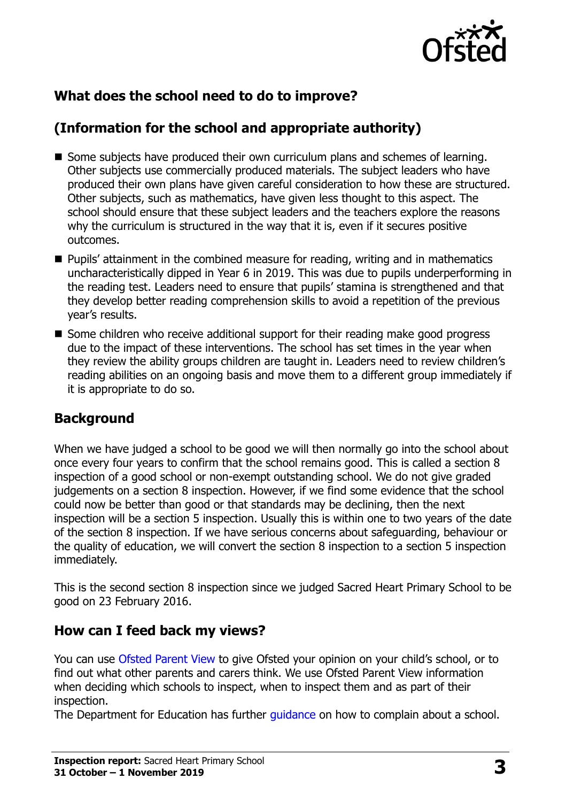

#### **What does the school need to do to improve?**

# **(Information for the school and appropriate authority)**

- Some subjects have produced their own curriculum plans and schemes of learning. Other subjects use commercially produced materials. The subject leaders who have produced their own plans have given careful consideration to how these are structured. Other subjects, such as mathematics, have given less thought to this aspect. The school should ensure that these subject leaders and the teachers explore the reasons why the curriculum is structured in the way that it is, even if it secures positive outcomes.
- **Pupils' attainment in the combined measure for reading, writing and in mathematics** uncharacteristically dipped in Year 6 in 2019. This was due to pupils underperforming in the reading test. Leaders need to ensure that pupils' stamina is strengthened and that they develop better reading comprehension skills to avoid a repetition of the previous year's results.
- Some children who receive additional support for their reading make good progress due to the impact of these interventions. The school has set times in the year when they review the ability groups children are taught in. Leaders need to review children's reading abilities on an ongoing basis and move them to a different group immediately if it is appropriate to do so.

#### **Background**

When we have judged a school to be good we will then normally go into the school about once every four years to confirm that the school remains good. This is called a section 8 inspection of a good school or non-exempt outstanding school. We do not give graded judgements on a section 8 inspection. However, if we find some evidence that the school could now be better than good or that standards may be declining, then the next inspection will be a section 5 inspection. Usually this is within one to two years of the date of the section 8 inspection. If we have serious concerns about safeguarding, behaviour or the quality of education, we will convert the section 8 inspection to a section 5 inspection immediately.

This is the second section 8 inspection since we judged Sacred Heart Primary School to be good on 23 February 2016.

#### **How can I feed back my views?**

You can use [Ofsted Parent View](https://parentview.ofsted.gov.uk/) to give Ofsted your opinion on your child's school, or to find out what other parents and carers think. We use Ofsted Parent View information when deciding which schools to inspect, when to inspect them and as part of their inspection.

The Department for Education has further quidance on how to complain about a school.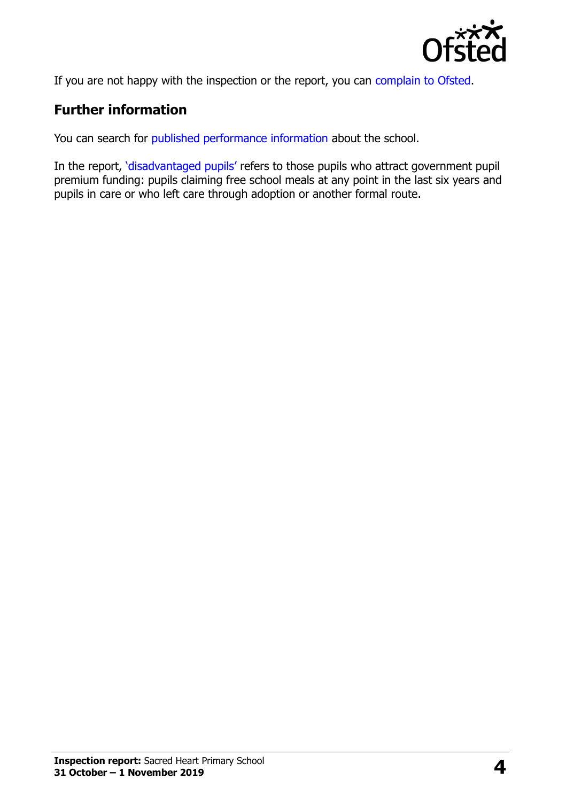

If you are not happy with the inspection or the report, you can [complain to Ofsted.](https://www.gov.uk/complain-ofsted-report)

## **Further information**

You can search for [published performance information](http://www.compare-school-performance.service.gov.uk/) about the school.

In the report, '[disadvantaged pupils](http://www.gov.uk/guidance/pupil-premium-information-for-schools-and-alternative-provision-settings)' refers to those pupils who attract government pupil premium funding: pupils claiming free school meals at any point in the last six years and pupils in care or who left care through adoption or another formal route.

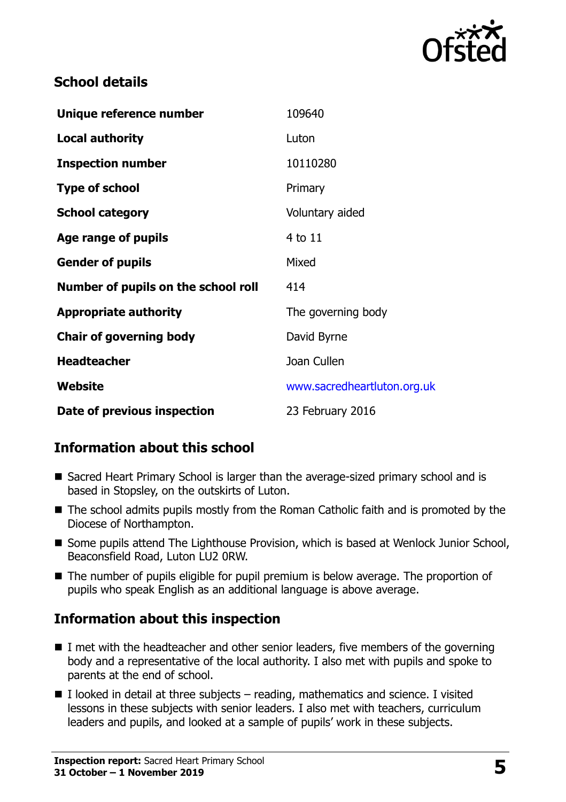

#### **School details**

| Unique reference number             | 109640                      |
|-------------------------------------|-----------------------------|
| <b>Local authority</b>              | Luton                       |
| <b>Inspection number</b>            | 10110280                    |
| <b>Type of school</b>               | Primary                     |
| <b>School category</b>              | Voluntary aided             |
| Age range of pupils                 | 4 to 11                     |
| <b>Gender of pupils</b>             | Mixed                       |
| Number of pupils on the school roll | 414                         |
| <b>Appropriate authority</b>        | The governing body          |
| <b>Chair of governing body</b>      | David Byrne                 |
| <b>Headteacher</b>                  | Joan Cullen                 |
| <b>Website</b>                      | www.sacredheartluton.org.uk |
| Date of previous inspection         | 23 February 2016            |

#### **Information about this school**

- Sacred Heart Primary School is larger than the average-sized primary school and is based in Stopsley, on the outskirts of Luton.
- The school admits pupils mostly from the Roman Catholic faith and is promoted by the Diocese of Northampton.
- Some pupils attend The Lighthouse Provision, which is based at Wenlock Junior School, Beaconsfield Road, Luton LU2 0RW.
- The number of pupils eligible for pupil premium is below average. The proportion of pupils who speak English as an additional language is above average.

#### **Information about this inspection**

- $\blacksquare$  I met with the headteacher and other senior leaders, five members of the governing body and a representative of the local authority. I also met with pupils and spoke to parents at the end of school.
- $\blacksquare$  I looked in detail at three subjects reading, mathematics and science. I visited lessons in these subjects with senior leaders. I also met with teachers, curriculum leaders and pupils, and looked at a sample of pupils' work in these subjects.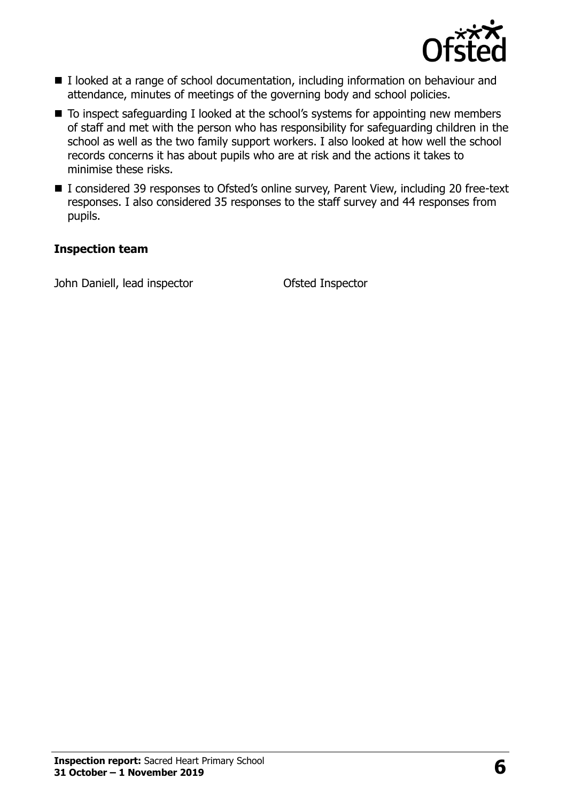

- I looked at a range of school documentation, including information on behaviour and attendance, minutes of meetings of the governing body and school policies.
- To inspect safeguarding I looked at the school's systems for appointing new members of staff and met with the person who has responsibility for safeguarding children in the school as well as the two family support workers. I also looked at how well the school records concerns it has about pupils who are at risk and the actions it takes to minimise these risks.
- I considered 39 responses to Ofsted's online survey, Parent View, including 20 free-text responses. I also considered 35 responses to the staff survey and 44 responses from pupils.

#### **Inspection team**

John Daniell, lead inspector **Contact Contact Contact Contact Contact Contact Contact Contact Contact Contact Contact Contact Contact Contact Contact Contact Contact Contact Contact Contact Contact Contact Contact Contact**